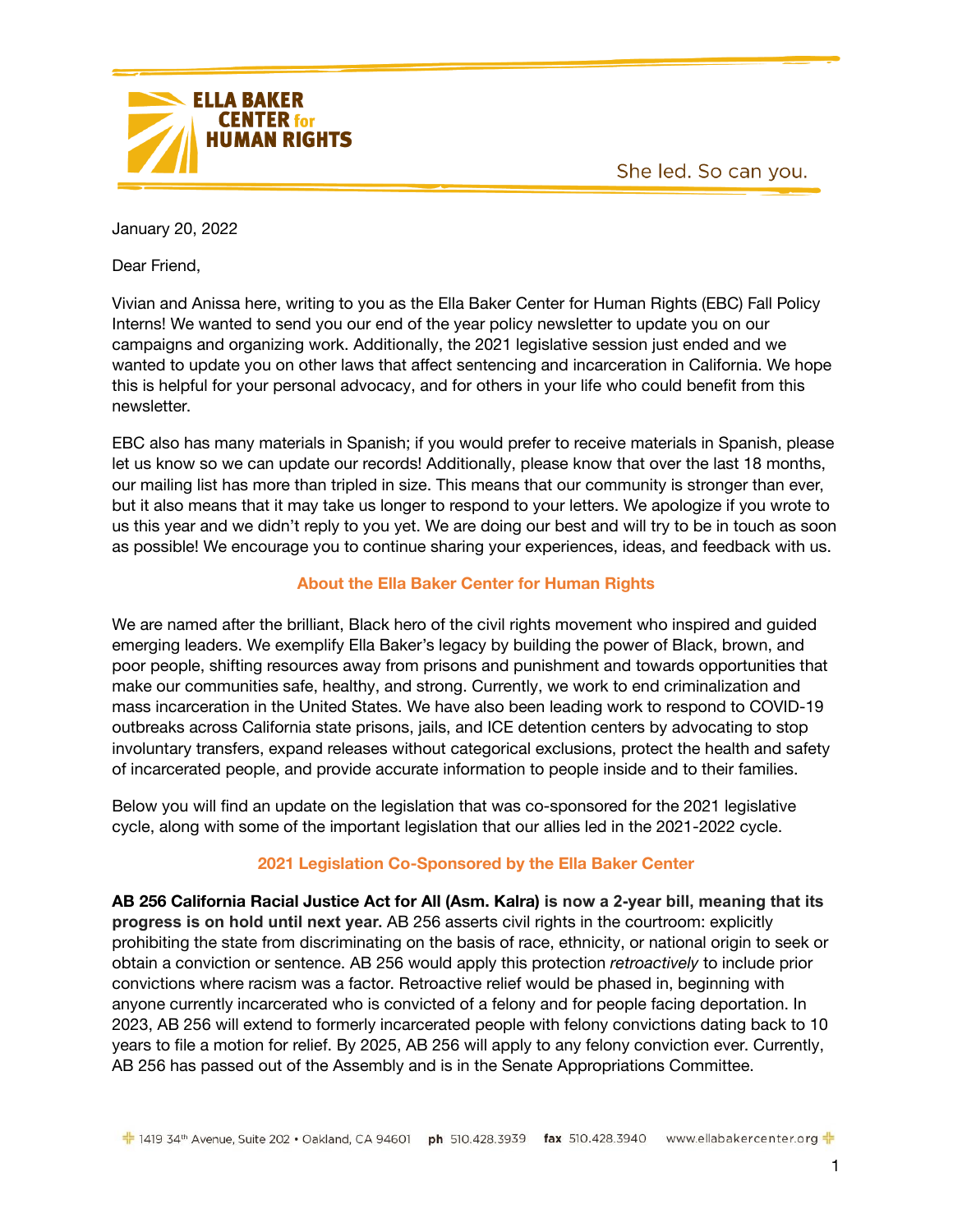



January 20, 2022

Dear Friend,

Vivian and Anissa here, writing to you as the Ella Baker Center for Human Rights (EBC) Fall Policy Interns! We wanted to send you our end of the year policy newsletter to update you on our campaigns and organizing work. Additionally, the 2021 legislative session just ended and we wanted to update you on other laws that affect sentencing and incarceration in California. We hope this is helpful for your personal advocacy, and for others in your life who could benefit from this newsletter.

EBC also has many materials in Spanish; if you would prefer to receive materials in Spanish, please let us know so we can update our records! Additionally, please know that over the last 18 months, our mailing list has more than tripled in size. This means that our community is stronger than ever, but it also means that it may take us longer to respond to your letters. We apologize if you wrote to us this year and we didn't reply to you yet. We are doing our best and will try to be in touch as soon as possible! We encourage you to continue sharing your experiences, ideas, and feedback with us.

# **About the Ella Baker Center for Human Rights**

We are named after the brilliant, Black hero of the civil rights movement who inspired and guided emerging leaders. We exemplify Ella Baker's legacy by building the power of Black, brown, and poor people, shifting resources away from prisons and punishment and towards opportunities that make our communities safe, healthy, and strong. Currently, we work to end criminalization and mass incarceration in the United States. We have also been leading work to respond to COVID-19 outbreaks across California state prisons, jails, and ICE detention centers by advocating to stop involuntary transfers, expand releases without categorical exclusions, protect the health and safety of incarcerated people, and provide accurate information to people inside and to their families.

Below you will find an update on the legislation that was co-sponsored for the 2021 legislative cycle, along with some of the important legislation that our allies led in the 2021-2022 cycle.

# **2021 Legislation Co-Sponsored by the Ella Baker Center**

**AB 256 California Racial Justice Act for All (Asm. Kalra) is now a 2-year bill, meaning that its progress is on hold until next year.** AB 256 asserts civil rights in the courtroom: explicitly prohibiting the state from discriminating on the basis of race, ethnicity, or national origin to seek or obtain a conviction or sentence. AB 256 would apply this protection *retroactively* to include prior convictions where racism was a factor. Retroactive relief would be phased in, beginning with anyone currently incarcerated who is convicted of a felony and for people facing deportation. In 2023, AB 256 will extend to formerly incarcerated people with felony convictions dating back to 10 years to file a motion for relief. By 2025, AB 256 will apply to any felony conviction ever. Currently, AB 256 has passed out of the Assembly and is in the Senate Appropriations Committee.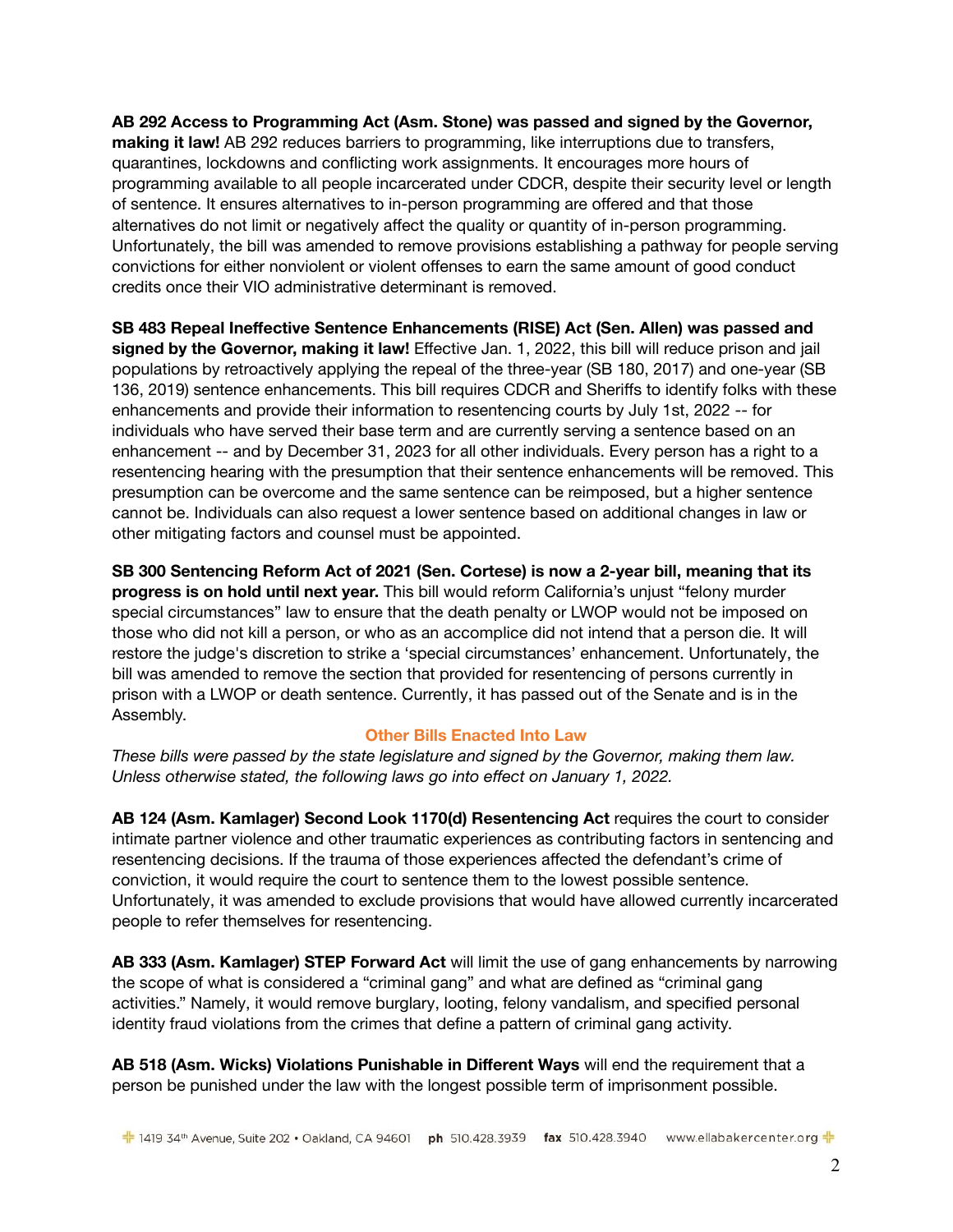**AB 292 Access to Programming Act (Asm. Stone) was passed and signed by the Governor, making it law!** AB 292 reduces barriers to programming, like interruptions due to transfers, quarantines, lockdowns and conflicting work assignments. It encourages more hours of programming available to all people incarcerated under CDCR, despite their security level or length of sentence. It ensures alternatives to in-person programming are offered and that those alternatives do not limit or negatively affect the quality or quantity of in-person programming. Unfortunately, the bill was amended to remove provisions establishing a pathway for people serving convictions for either nonviolent or violent offenses to earn the same amount of good conduct credits once their VIO administrative determinant is removed.

**SB 483 Repeal Ineffective Sentence Enhancements (RISE) Act (Sen. Allen) was passed and signed by the Governor, making it law!** Effective Jan. 1, 2022, this bill will reduce prison and jail populations by retroactively applying the repeal of the three-year (SB 180, 2017) and one-year (SB 136, 2019) sentence enhancements. This bill requires CDCR and Sheriffs to identify folks with these enhancements and provide their information to resentencing courts by July 1st, 2022 -- for individuals who have served their base term and are currently serving a sentence based on an enhancement -- and by December 31, 2023 for all other individuals. Every person has a right to a resentencing hearing with the presumption that their sentence enhancements will be removed. This presumption can be overcome and the same sentence can be reimposed, but a higher sentence cannot be. Individuals can also request a lower sentence based on additional changes in law or other mitigating factors and counsel must be appointed.

**SB 300 Sentencing Reform Act of 2021 (Sen. Cortese) is now a 2-year bill, meaning that its progress is on hold until next year.** This bill would reform California's unjust "felony murder special circumstances" law to ensure that the death penalty or LWOP would not be imposed on those who did not kill a person, or who as an accomplice did not intend that a person die. It will restore the judge's discretion to strike a 'special circumstances' enhancement. Unfortunately, the bill was amended to remove the section that provided for resentencing of persons currently in prison with a LWOP or death sentence. Currently, it has passed out of the Senate and is in the Assembly.

## **Other Bills Enacted Into Law**

*These bills were passed by the state legislature and signed by the Governor, making them law. Unless otherwise stated, the following laws go into effect on January 1, 2022.*

**[AB 124](https://leginfo.legislature.ca.gov/faces/billNavClient.xhtml?bill_id=202120220AB124) (Asm. Kamlager) Second Look 1170(d) Resentencing Act** requires the court to consider intimate partner violence and other traumatic experiences as contributing factors in sentencing and resentencing decisions. If the trauma of those experiences affected the defendant's crime of conviction, it would require the court to sentence them to the lowest possible sentence. Unfortunately, it was amended to exclude provisions that would have allowed currently incarcerated people to refer themselves for resentencing.

**AB 333 (Asm. Kamlager) STEP Forward Act** will limit the use of gang enhancements by narrowing the scope of what is considered a "criminal gang" and what are defined as "criminal gang activities." Namely, it would remove burglary, looting, felony vandalism, and specified personal identity fraud violations from the crimes that define a pattern of criminal gang activity.

**AB 518 (Asm. Wicks) Violations Punishable in Different Ways** will end the requirement that a person be punished under the law with the longest possible term of imprisonment possible.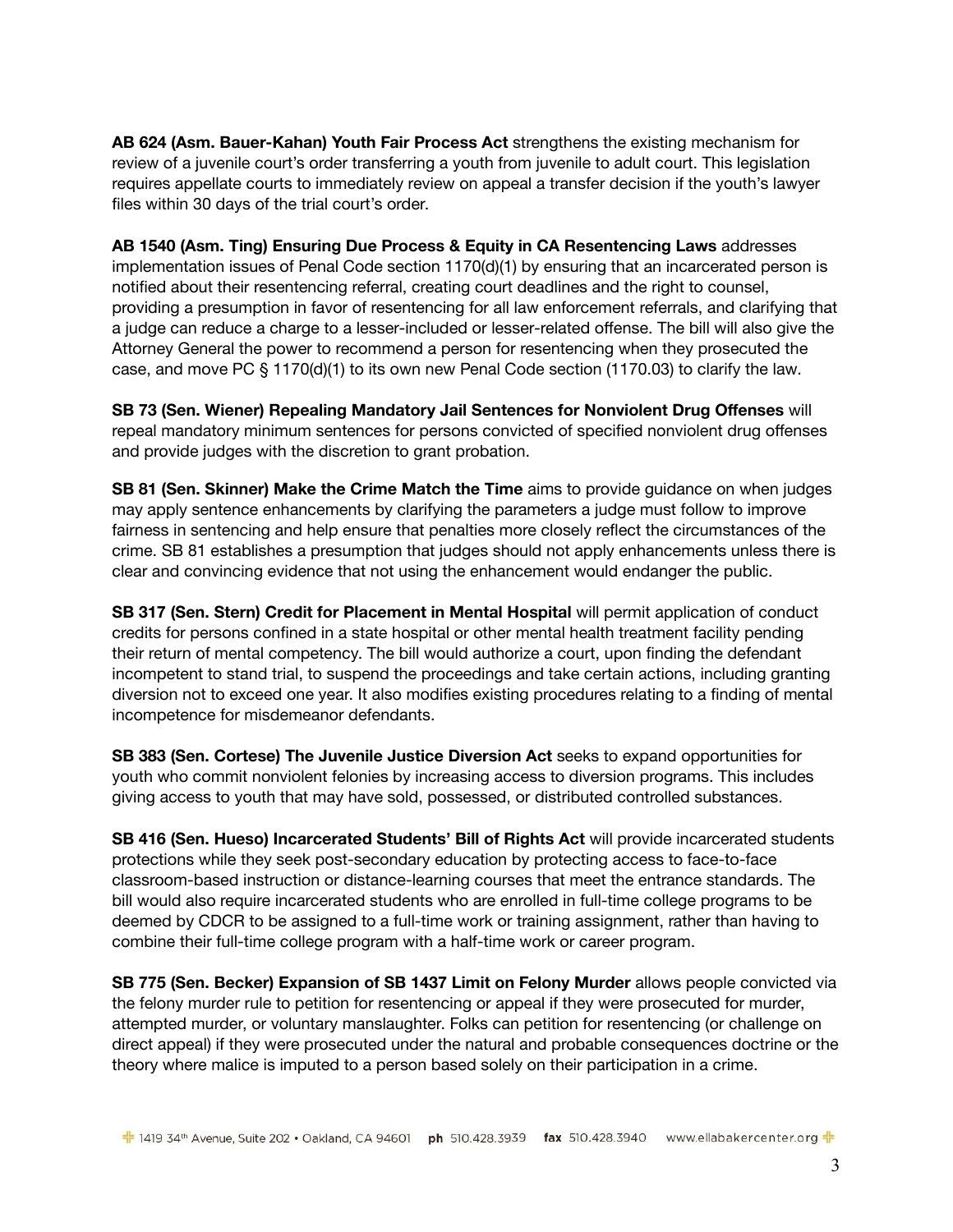**[AB 624](https://leginfo.legislature.ca.gov/faces/billTextClient.xhtml?bill_id=202120220AB624) (Asm. Bauer-Kahan) Youth Fair Process Act** strengthens the existing mechanism for review of a juvenile court's order transferring a youth from juvenile to adult court. This legislation requires appellate courts to immediately review on appeal a transfer decision if the youth's lawyer files within 30 days of the trial court's order.

**[AB 1540](https://leginfo.legislature.ca.gov/faces/billNavClient.xhtml?bill_id=202120220AB1540) (Asm. Ting) Ensuring Due Process & Equity in CA Resentencing Laws** addresses implementation issues of Penal Code section 1170(d)(1) by ensuring that an incarcerated person is notified about their resentencing referral, creating court deadlines and the right to counsel, providing a presumption in favor of resentencing for all law enforcement referrals, and clarifying that a judge can reduce a charge to a lesser-included or lesser-related offense. The bill will also give the Attorney General the power to recommend a person for resentencing when they prosecuted the case, and move PC § 1170(d)(1) to its own new Penal Code section (1170.03) to clarify the law.

**[SB 73](https://leginfo.legislature.ca.gov/faces/billNavClient.xhtml?bill_id=202120220SB73) (Sen. Wiener) Repealing Mandatory Jail Sentences for Nonviolent Drug Offenses** will repeal mandatory minimum sentences for persons convicted of specified nonviolent drug offenses and provide judges with the discretion to grant probation.

**SB 81 (Sen. Skinner) Make the Crime Match the Time** aims to provide guidance on when judges may apply sentence enhancements by clarifying the parameters a judge must follow to improve fairness in sentencing and help ensure that penalties more closely reflect the circumstances of the crime. SB 81 establishes a presumption that judges should not apply enhancements unless there is clear and convincing evidence that not using the enhancement would endanger the public.

**[SB 317](https://leginfo.legislature.ca.gov/faces/billNavClient.xhtml?bill_id=202120220SB317) (Sen. Stern) Credit for Placement in Mental Hospital** will permit application of conduct credits for persons confined in a state hospital or other mental health treatment facility pending their return of mental competency. The bill would authorize a court, upon finding the defendant incompetent to stand trial, to suspend the proceedings and take certain actions, including granting diversion not to exceed one year. It also modifies existing procedures relating to a finding of mental incompetence for misdemeanor defendants.

**[SB 383](https://leginfo.legislature.ca.gov/faces/billTextClient.xhtml?bill_id=202120220SB383) (Sen. Cortese) The Juvenile Justice Diversion Act** seeks to expand opportunities for youth who commit nonviolent felonies by increasing access to diversion programs. This includes giving access to youth that may have sold, possessed, or distributed controlled substances.

**SB 416 (Sen. Hueso) Incarcerated Students' Bill of Rights Act** will provide incarcerated students protections while they seek post-secondary education by protecting access to face-to-face classroom-based instruction or distance-learning courses that meet the entrance standards. The bill would also require incarcerated students who are enrolled in full-time college programs to be deemed by CDCR to be assigned to a full-time work or training assignment, rather than having to combine their full-time college program with a half-time work or career program.

**SB 775 (Sen. Becker) Expansion of SB 1437 Limit on Felony Murder** allows people convicted via the felony murder rule to petition for resentencing or appeal if they were prosecuted for murder, attempted murder, or voluntary manslaughter. Folks can petition for resentencing (or challenge on direct appeal) if they were prosecuted under the natural and probable consequences doctrine or the theory where malice is imputed to a person based solely on their participation in a crime.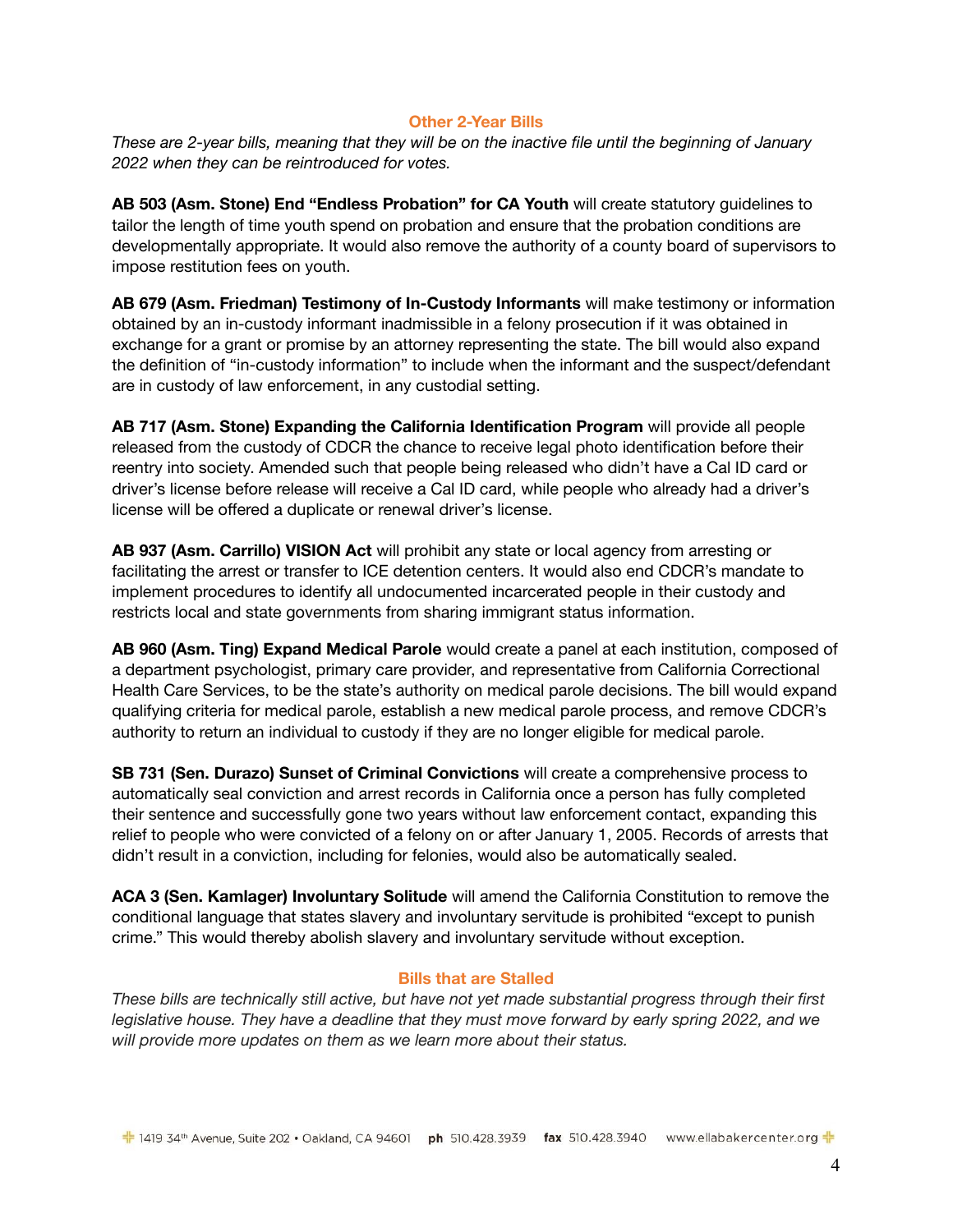#### **Other 2-Year Bills**

*These are 2-year bills, meaning that they will be on the inactive file until the beginning of January 2022 when they can be reintroduced for votes.*

**[AB 503](https://leginfo.legislature.ca.gov/faces/billNavClient.xhtml?bill_id=202120220AB503) (Asm. Stone) End "Endless Probation" for CA Youth** will create statutory guidelines to tailor the length of time youth spend on probation and ensure that the probation conditions are developmentally appropriate. It would also remove the authority of a county board of supervisors to impose restitution fees on youth.

**[AB 679](https://leginfo.legislature.ca.gov/faces/billNavClient.xhtml?bill_id=202120220AB679) (Asm. Friedman) Testimony of In-Custody Informants** will make testimony or information obtained by an in-custody informant inadmissible in a felony prosecution if it was obtained in exchange for a grant or promise by an attorney representing the state. The bill would also expand the definition of "in-custody information" to include when the informant and the suspect/defendant are in custody of law enforcement, in any custodial setting.

**AB 717 (Asm. Stone) Expanding the California Identification Program** will provide all people released from the custody of CDCR the chance to receive legal photo identification before their reentry into society. Amended such that people being released who didn't have a Cal ID card or driver's license before release will receive a Cal ID card, while people who already had a driver's license will be offered a duplicate or renewal driver's license.

**[AB 937](https://leginfo.legislature.ca.gov/faces/billNavClient.xhtml?bill_id=202120220AB937) (Asm. Carrillo) VISION Act** will prohibit any state or local agency from arresting or facilitating the arrest or transfer to ICE detention centers. It would also end CDCR's mandate to implement procedures to identify all undocumented incarcerated people in their custody and restricts local and state governments from sharing immigrant status information.

**[AB 960](https://leginfo.legislature.ca.gov/faces/billNavClient.xhtml?bill_id=202120220AB960) (Asm. Ting) Expand Medical Parole** would create a panel at each institution, composed of a department psychologist, primary care provider, and representative from California Correctional Health Care Services, to be the state's authority on medical parole decisions. The bill would expand qualifying criteria for medical parole, establish a new medical parole process, and remove CDCR's authority to return an individual to custody if they are no longer eligible for medical parole.

**[SB 731](https://leginfo.legislature.ca.gov/faces/billNavClient.xhtml?bill_id=202120220SB731) (Sen. Durazo) Sunset of Criminal Convictions** will create a comprehensive process to automatically seal conviction and arrest records in California once a person has fully completed their sentence and successfully gone two years without law enforcement contact, expanding this relief to people who were convicted of a felony on or after January 1, 2005. Records of arrests that didn't result in a conviction, including for felonies, would also be automatically sealed.

**ACA 3 (Sen. Kamlager) Involuntary Solitude** will amend the California Constitution to remove the conditional language that states slavery and involuntary servitude is prohibited "except to punish crime." This would thereby abolish slavery and involuntary servitude without exception.

## **Bills that are Stalled**

*These bills are technically still active, but have not yet made substantial progress through their first legislative house. They have a deadline that they must move forward by early spring 2022, and we will provide more updates on them as we learn more about their status.*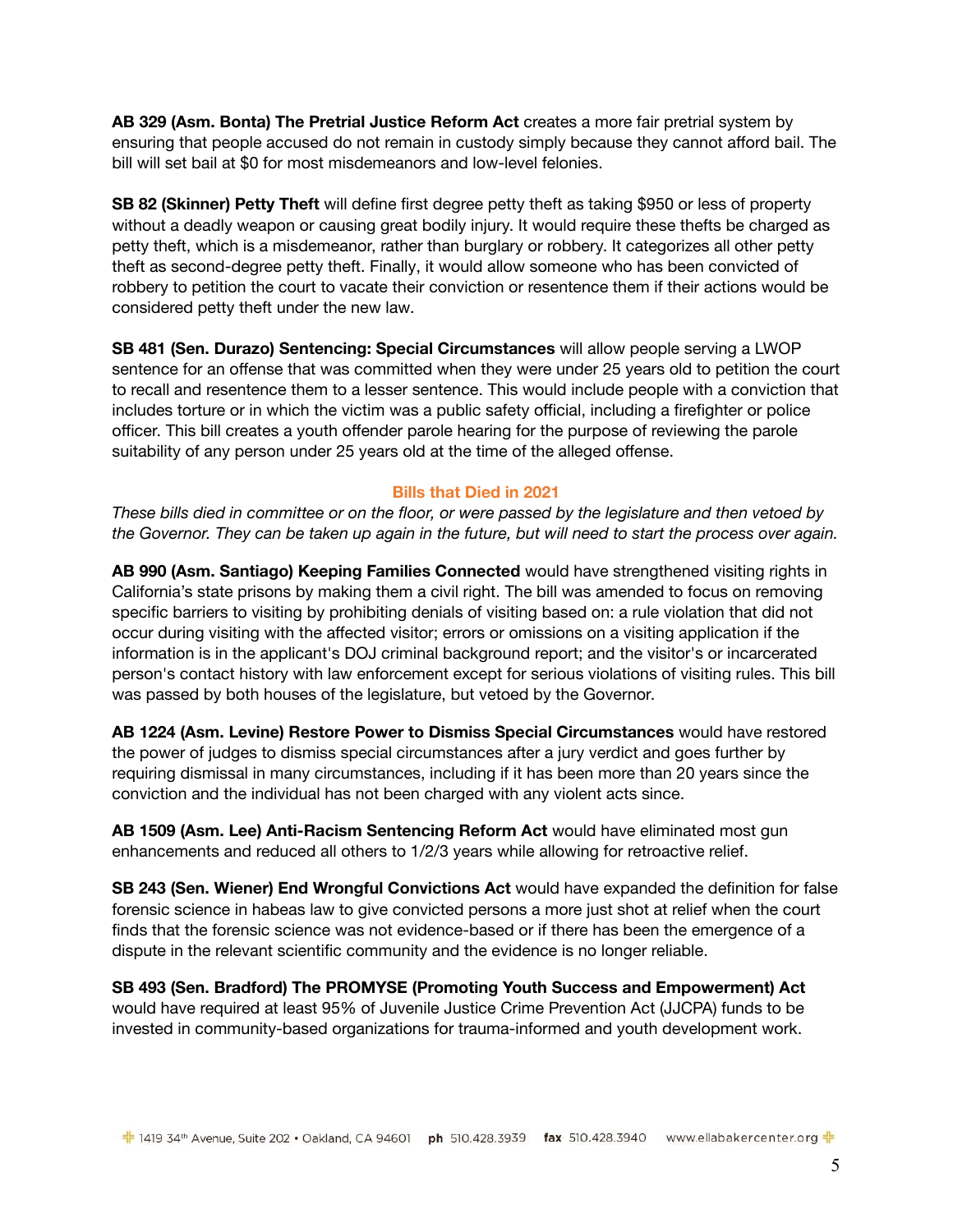**[AB 329](https://leginfo.legislature.ca.gov/faces/billNavClient.xhtml?bill_id=202120220AB329) (Asm. Bonta) The Pretrial Justice Reform Act** creates a more fair pretrial system by ensuring that people accused do not remain in custody simply because they cannot afford bail. The bill will set bail at \$0 for most misdemeanors and low-level felonies.

**SB 82 (Skinner) Petty Theft** will define first degree petty theft as taking \$950 or less of property without a deadly weapon or causing great bodily injury. It would require these thefts be charged as petty theft, which is a misdemeanor, rather than burglary or robbery. It categorizes all other petty theft as second-degree petty theft. Finally, it would allow someone who has been convicted of robbery to petition the court to vacate their conviction or resentence them if their actions would be considered petty theft under the new law.

**[SB 481](https://leginfo.legislature.ca.gov/faces/billNavClient.xhtml?bill_id=202120220SB481) (Sen. Durazo) Sentencing: Special Circumstances** will allow people serving a LWOP sentence for an offense that was committed when they were under 25 years old to petition the court to recall and resentence them to a lesser sentence. This would include people with a conviction that includes torture or in which the victim was a public safety official, including a firefighter or police officer. This bill creates a youth offender parole hearing for the purpose of reviewing the parole suitability of any person under 25 years old at the time of the alleged offense.

# **Bills that Died in 2021**

*These bills died in committee or on the floor, or were passed by the legislature and then vetoed by the Governor. They can be taken up again in the future, but will need to start the process over again.*

**AB 990 (Asm. Santiago) Keeping Families Connected** would have strengthened visiting rights in California's state prisons by making them a civil right. The bill was amended to focus on removing specific barriers to visiting by prohibiting denials of visiting based on: a rule violation that did not occur during visiting with the affected visitor; errors or omissions on a visiting application if the information is in the applicant's DOJ criminal background report; and the visitor's or incarcerated person's contact history with law enforcement except for serious violations of visiting rules. This bill was passed by both houses of the legislature, but vetoed by the Governor.

**[AB 1224](https://leginfo.legislature.ca.gov/faces/billNavClient.xhtml?bill_id=202120220AB1224) (Asm. Levine) Restore Power to Dismiss Special Circumstances** would have restored the power of judges to dismiss special circumstances after a jury verdict and goes further by requiring dismissal in many circumstances, including if it has been more than 20 years since the conviction and the individual has not been charged with any violent acts since.

**[AB 1509](https://leginfo.legislature.ca.gov/faces/billNavClient.xhtml?bill_id=202120220AB1509) (Asm. Lee) Anti-Racism Sentencing Reform Act** would have eliminated most gun enhancements and reduced all others to 1/2/3 years while allowing for retroactive relief.

**[SB 243](https://leginfo.legislature.ca.gov/faces/billNavClient.xhtml?bill_id=202120220SB243) (Sen. Wiener) End Wrongful Convictions Act** would have expanded the definition for false forensic science in habeas law to give convicted persons a more just shot at relief when the court finds that the forensic science was not evidence-based or if there has been the emergence of a dispute in the relevant scientific community and the evidence is no longer reliable.

**SB 493 (Sen. Bradford) The PROMYSE (Promoting Youth Success and Empowerment) Act** would have required at least 95% of Juvenile Justice Crime Prevention Act (JJCPA) funds to be invested in community-based organizations for trauma-informed and youth development work.